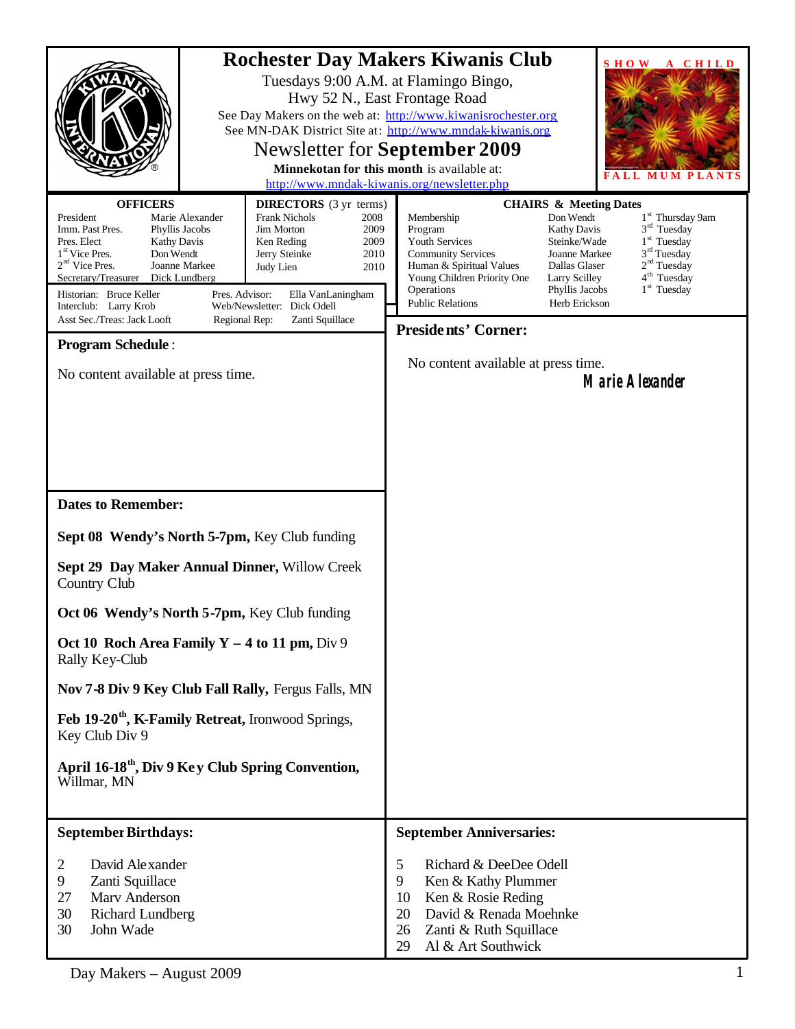|                                                                                                                                                                                                                                                                                                                                                                                                                                                                                                                                                                                                                                  |                                      | <b>Rochester Day Makers Kiwanis Club</b><br><b>SHOW</b><br>A CHILD<br>Tuesdays 9:00 A.M. at Flamingo Bingo,<br>Hwy 52 N., East Frontage Road<br>See Day Makers on the web at: http://www.kiwanisrochester.org<br>See MN-DAK District Site at: http://www.mndak-kiwanis.org<br><b>Newsletter for September 2009</b><br>Minnekotan for this month is available at:<br>http://www.mndak-kiwanis.org/newsletter.php                                                                                                                                                                                                                     |
|----------------------------------------------------------------------------------------------------------------------------------------------------------------------------------------------------------------------------------------------------------------------------------------------------------------------------------------------------------------------------------------------------------------------------------------------------------------------------------------------------------------------------------------------------------------------------------------------------------------------------------|--------------------------------------|-------------------------------------------------------------------------------------------------------------------------------------------------------------------------------------------------------------------------------------------------------------------------------------------------------------------------------------------------------------------------------------------------------------------------------------------------------------------------------------------------------------------------------------------------------------------------------------------------------------------------------------|
| <b>OFFICERS</b><br><b>DIRECTORS</b> (3 yr terms)<br><b>Frank Nichols</b><br>President<br>Marie Alexander<br>Imm. Past Pres.<br>Jim Morton<br>Phyllis Jacobs<br>Pres. Elect<br>Ken Reding<br><b>Kathy Davis</b><br>Don Wendt<br>1 <sup>st</sup> Vice Pres.<br>Jerry Steinke<br>$2nd$ Vice Pres.<br>Joanne Markee<br>Judy Lien<br>Secretary/Treasurer Dick Lundberg<br>Historian: Bruce Keller<br>Pres. Advisor:<br>Ella VanLaningham<br>Web/Newsletter: Dick Odell<br>Interclub: Larry Krob<br>Asst Sec./Treas: Jack Looft<br>Regional Rep:<br>Zanti Squillace<br><b>Program Schedule:</b><br>No content available at press time. | 2008<br>2009<br>2009<br>2010<br>2010 | <b>CHAIRS &amp; Meeting Dates</b><br>1 <sup>st</sup> Thursday 9am<br>Membership<br>Don Wendt<br>$3rd$ Tuesday<br>Program<br><b>Kathy Davis</b><br>1 <sup>st</sup> Tuesday<br>Youth Services<br>Steinke/Wade<br>3 <sup>rd</sup> Tuesday<br><b>Community Services</b><br>Joanne Markee<br>2 <sup>nd</sup> Tuesday<br>Dallas Glaser<br>Human & Spiritual Values<br>4 <sup>th</sup> Tuesday<br>Young Children Priority One<br>Larry Scilley<br>$1st$ Tuesday<br>Operations<br>Phyllis Jacobs<br><b>Public Relations</b><br>Herb Erickson<br><b>Presidents' Corner:</b><br>No content available at press time.<br><b>Marie Alexander</b> |
| <b>Dates to Remember:</b>                                                                                                                                                                                                                                                                                                                                                                                                                                                                                                                                                                                                        |                                      |                                                                                                                                                                                                                                                                                                                                                                                                                                                                                                                                                                                                                                     |
| Sept 08 Wendy's North 5-7pm, Key Club funding<br>Sept 29 Day Maker Annual Dinner, Willow Creek<br>Country Club                                                                                                                                                                                                                                                                                                                                                                                                                                                                                                                   |                                      |                                                                                                                                                                                                                                                                                                                                                                                                                                                                                                                                                                                                                                     |
| Oct 06 Wendy's North 5-7pm, Key Club funding                                                                                                                                                                                                                                                                                                                                                                                                                                                                                                                                                                                     |                                      |                                                                                                                                                                                                                                                                                                                                                                                                                                                                                                                                                                                                                                     |
| Oct 10 Roch Area Family $Y - 4$ to 11 pm, Div 9<br>Rally Key-Club                                                                                                                                                                                                                                                                                                                                                                                                                                                                                                                                                                |                                      |                                                                                                                                                                                                                                                                                                                                                                                                                                                                                                                                                                                                                                     |
| Nov 7-8 Div 9 Key Club Fall Rally, Fergus Falls, MN                                                                                                                                                                                                                                                                                                                                                                                                                                                                                                                                                                              |                                      |                                                                                                                                                                                                                                                                                                                                                                                                                                                                                                                                                                                                                                     |
| Feb 19-20 <sup>th</sup> , K-Family Retreat, Ironwood Springs,<br>Key Club Div 9                                                                                                                                                                                                                                                                                                                                                                                                                                                                                                                                                  |                                      |                                                                                                                                                                                                                                                                                                                                                                                                                                                                                                                                                                                                                                     |
| April 16-18 <sup>th</sup> , Div 9 Key Club Spring Convention,<br>Willmar, MN                                                                                                                                                                                                                                                                                                                                                                                                                                                                                                                                                     |                                      |                                                                                                                                                                                                                                                                                                                                                                                                                                                                                                                                                                                                                                     |
| <b>September Birthdays:</b>                                                                                                                                                                                                                                                                                                                                                                                                                                                                                                                                                                                                      |                                      | <b>September Anniversaries:</b>                                                                                                                                                                                                                                                                                                                                                                                                                                                                                                                                                                                                     |
| David Alexander<br>2<br>9<br>Zanti Squillace<br>Marv Anderson<br>27<br>30<br><b>Richard Lundberg</b><br>30<br>John Wade                                                                                                                                                                                                                                                                                                                                                                                                                                                                                                          |                                      | 5<br>Richard & DeeDee Odell<br>9<br>Ken & Kathy Plummer<br>Ken & Rosie Reding<br>10<br>David & Renada Moehnke<br>20<br>26<br>Zanti & Ruth Squillace<br>29<br>Al & Art Southwick                                                                                                                                                                                                                                                                                                                                                                                                                                                     |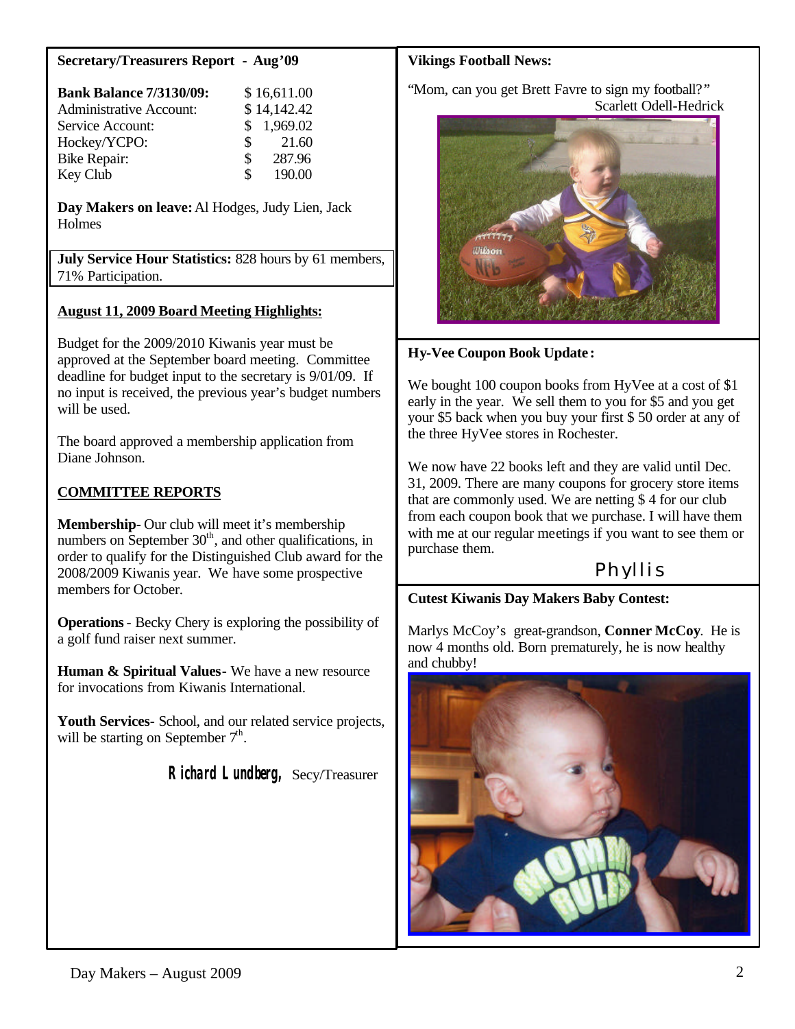#### **Secretary/Treasurers Report - Aug'09**

| <b>Bank Balance 7/3130/09:</b> | \$16,611.00              |  |
|--------------------------------|--------------------------|--|
| <b>Administrative Account:</b> | \$14,142.42              |  |
| Service Account:               | \$1,969.02               |  |
| Hockey/YCPO:                   | 21.60<br>$\mathcal{S}^-$ |  |
| <b>Bike Repair:</b>            | 287.96<br>S.             |  |
| Key Club                       | 190.00<br>Я              |  |

**Day Makers on leave:** Al Hodges, Judy Lien, Jack **Holmes** 

**July Service Hour Statistics:** 828 hours by 61 members, 71% Participation.

#### **August 11, 2009 Board Meeting Highlights:**

Budget for the 2009/2010 Kiwanis year must be approved at the September board meeting. Committee deadline for budget input to the secretary is 9/01/09. If no input is received, the previous year's budget numbers will be used.

The board approved a membership application from Diane Johnson.

## **COMMITTEE REPORTS**

**Membership-** Our club will meet it's membership numbers on September  $30<sup>th</sup>$ , and other qualifications, in order to qualify for the Distinguished Club award for the 2008/2009 Kiwanis year. We have some prospective members for October.

**Operations**- Becky Chery is exploring the possibility of a golf fund raiser next summer.

**Human & Spiritual Values-** We have a new resource for invocations from Kiwanis International.

**Youth Services-** School, and our related service projects, will be starting on September  $7<sup>th</sup>$ .

 **Richard Lundberg,** Secy/Treasurer

#### **Vikings Football News:**

"Mom, can you get Brett Favre to sign my football?" Scarlett Odell-Hedrick



## **Hy-Vee Coupon Book Update :**

We bought 100 coupon books from HyVee at a cost of \$1 early in the year. We sell them to you for \$5 and you get your \$5 back when you buy your first \$ 50 order at any of the three HyVee stores in Rochester.

We now have 22 books left and they are valid until Dec. 31, 2009. There are many coupons for grocery store items that are commonly used. We are netting \$ 4 for our club from each coupon book that we purchase. I will have them with me at our regular meetings if you want to see them or purchase them.

# Phyllis

#### **Cutest Kiwanis Day Makers Baby Contest:**

Marlys McCoy's great-grandson, **Conner McCoy**. He is now 4 months old. Born prematurely, he is now healthy and chubby!